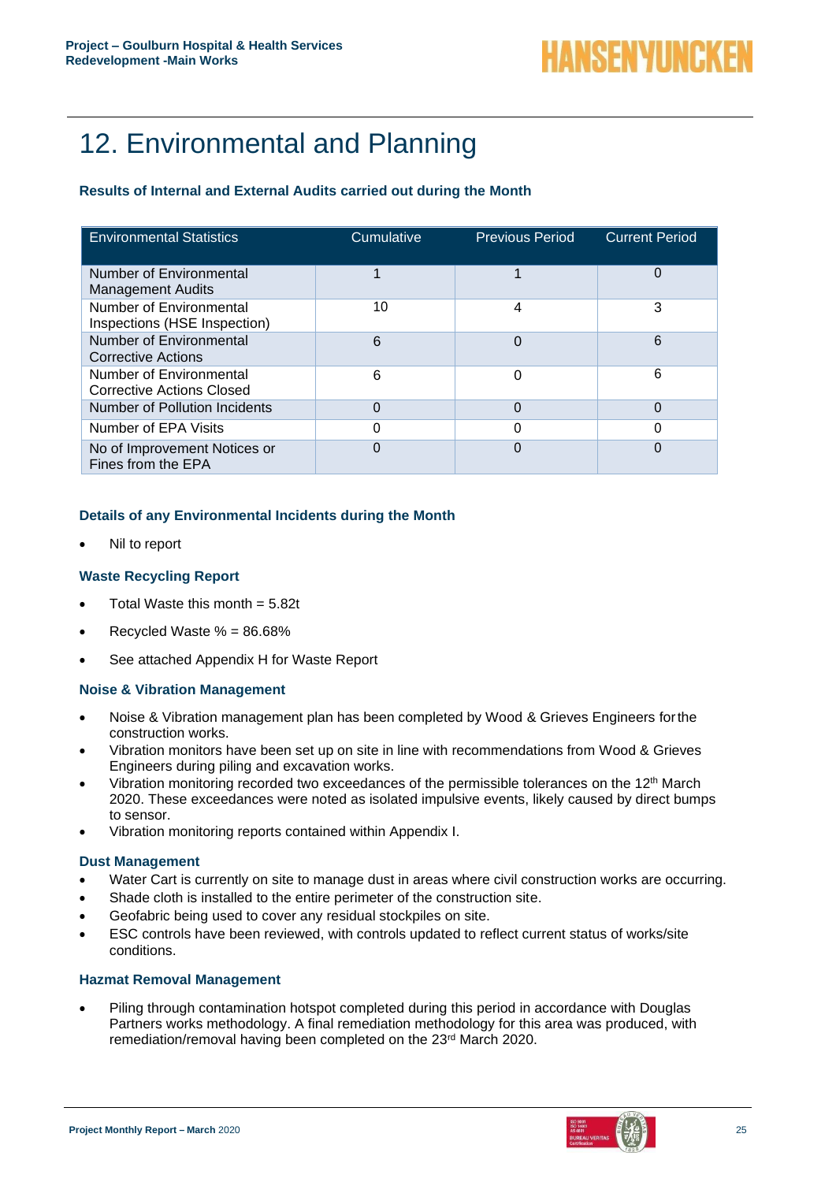# 12. Environmental and Planning

## **Results of Internal and External Audits carried out during the Month**

| <b>Environmental Statistics</b>                             | Cumulative | <b>Previous Period</b> | <b>Current Period</b> |
|-------------------------------------------------------------|------------|------------------------|-----------------------|
| Number of Environmental<br>Management Audits                |            |                        | 0                     |
| Number of Environmental<br>Inspections (HSE Inspection)     | 10         | 4                      | 3                     |
| Number of Environmental<br>Corrective Actions               | 6          |                        | 6                     |
| Number of Environmental<br><b>Corrective Actions Closed</b> | 6          |                        | 6                     |
| <b>Number of Pollution Incidents</b>                        | 0          |                        | $\Omega$              |
| Number of EPA Visits                                        | 0          |                        | 0                     |
| No of Improvement Notices or<br>Fines from the EPA          | 0          |                        | 0                     |

## **Details of any Environmental Incidents during the Month**

• Nil to report

## **Waste Recycling Report**

- Total Waste this month  $= 5.82t$
- Recycled Waste  $% = 86.68%$
- See attached Appendix H for Waste Report

#### **Noise & Vibration Management**

- Noise & Vibration management plan has been completed by Wood & Grieves Engineers forthe construction works.
- Vibration monitors have been set up on site in line with recommendations from Wood & Grieves Engineers during piling and excavation works.
- Vibration monitoring recorded two exceedances of the permissible tolerances on the 12<sup>th</sup> March 2020. These exceedances were noted as isolated impulsive events, likely caused by direct bumps to sensor.
- Vibration monitoring reports contained within Appendix I.

#### **Dust Management**

- Water Cart is currently on site to manage dust in areas where civil construction works are occurring.
- Shade cloth is installed to the entire perimeter of the construction site.
- Geofabric being used to cover any residual stockpiles on site.
- ESC controls have been reviewed, with controls updated to reflect current status of works/site conditions.

#### **Hazmat Removal Management**

• Piling through contamination hotspot completed during this period in accordance with Douglas Partners works methodology. A final remediation methodology for this area was produced, with remediation/removal having been completed on the 23rd March 2020.